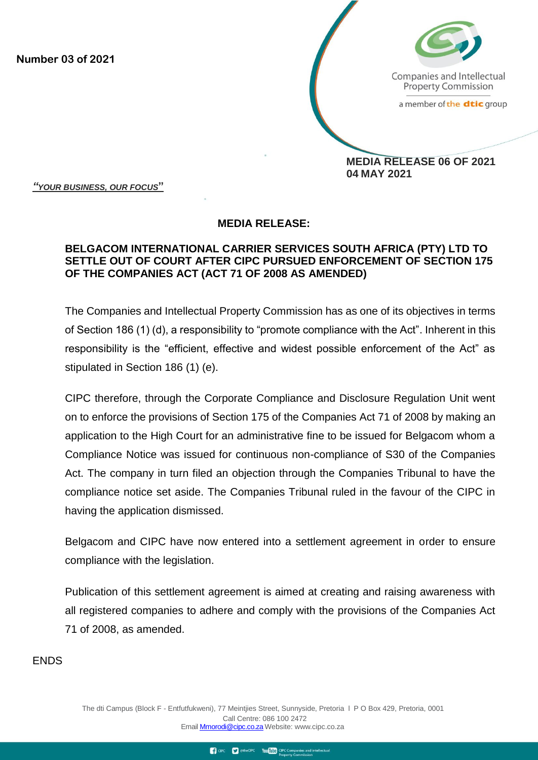**Number 03 of 2021**



Companies and Intellectual **Property Commission** 

a member of the dtic group

**MEDIA RELEASE 06 OF 2021 04 MAY 2021**

*"YOUR BUSINESS, OUR FOCUS***"**

## **MEDIA RELEASE:**

## **BELGACOM INTERNATIONAL CARRIER SERVICES SOUTH AFRICA (PTY) LTD TO SETTLE OUT OF COURT AFTER CIPC PURSUED ENFORCEMENT OF SECTION 175 OF THE COMPANIES ACT (ACT 71 OF 2008 AS AMENDED)**

The Companies and Intellectual Property Commission has as one of its objectives in terms of Section 186 (1) (d), a responsibility to "promote compliance with the Act". Inherent in this responsibility is the "efficient, effective and widest possible enforcement of the Act" as stipulated in Section 186 (1) (e).

CIPC therefore, through the Corporate Compliance and Disclosure Regulation Unit went on to enforce the provisions of Section 175 of the Companies Act 71 of 2008 by making an application to the High Court for an administrative fine to be issued for Belgacom whom a Compliance Notice was issued for continuous non-compliance of S30 of the Companies Act. The company in turn filed an objection through the Companies Tribunal to have the compliance notice set aside. The Companies Tribunal ruled in the favour of the CIPC in having the application dismissed.

Belgacom and CIPC have now entered into a settlement agreement in order to ensure compliance with the legislation.

Publication of this settlement agreement is aimed at creating and raising awareness with all registered companies to adhere and comply with the provisions of the Companies Act 71 of 2008, as amended.

ENDS

The dti Campus (Block F - Entfutfukweni), 77 Meintjies Street, Sunnyside, Pretoria l P O Box 429, Pretoria, 0001 Call Centre: 086 100 2472 Email [Mmorodi@cipc.co.za](mailto:Mmorodi@cipc.co.za) Webs[ite: www.cipc.co.za](http://www.cipc.co.za/)